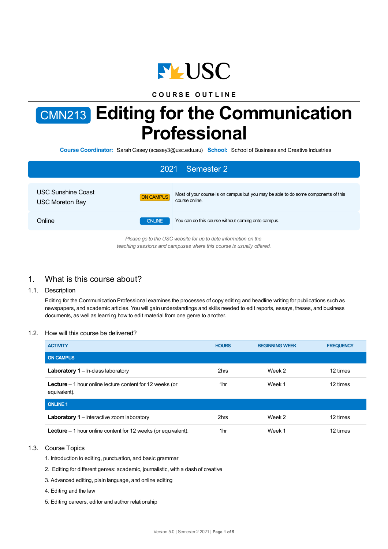

## **C O U R S E O U T L I N E**

# CMN213 **Editing for the Communication Professional**

**Course Coordinator:** Sarah Casey (scasey3@usc.edu.au) **School:** School of Business and Creative Industries

| 2021 Semester 2                                                                                                                        |                                                                                                                   |  |  |  |
|----------------------------------------------------------------------------------------------------------------------------------------|-------------------------------------------------------------------------------------------------------------------|--|--|--|
| <b>USC Sunshine Coast</b><br><b>USC Moreton Bay</b>                                                                                    | Most of your course is on campus but you may be able to do some components of this<br>ON CAMPUS<br>course online. |  |  |  |
| Online                                                                                                                                 | <b>ONLINE</b><br>You can do this course without coming onto campus.                                               |  |  |  |
| Please go to the USC website for up to date information on the<br>teaching sessions and campuses where this course is usually offered. |                                                                                                                   |  |  |  |

# 1. What is this course about?

#### 1.1. Description

Editing for the Communication Professional examines the processes of copy editing and headline writing for publications such as newspapers, and academic articles. You will gain understandings and skills needed to edit reports, essays, theses, and business documents, as well as learning how to edit material from one genre to another.

#### 1.2. How will this course be delivered?

| <b>ACTIVITY</b>                                                                  | <b>HOURS</b>    | <b>BEGINNING WEEK</b> | <b>FREQUENCY</b> |
|----------------------------------------------------------------------------------|-----------------|-----------------------|------------------|
| <b>ON CAMPUS</b>                                                                 |                 |                       |                  |
| <b>Laboratory 1</b> – In-class laboratory                                        | 2hrs            | Week 2                | 12 times         |
| <b>Lecture</b> $-1$ hour online lecture content for 12 weeks (or<br>equivalent). | 1hr             | Week 1                | 12 times         |
| <b>ONLINE 1</b>                                                                  |                 |                       |                  |
| <b>Laboratory 1</b> – Interactive zoom laboratory                                | 2hrs            | Week 2                | 12 times         |
| <b>Lecture</b> – 1 hour online content for 12 weeks (or equivalent).             | 1 <sub>hr</sub> | Week 1                | 12 times         |

#### 1.3. Course Topics

- 1. Introduction to editing, punctuation, and basic grammar
- 2. Editing for different genres: academic, journalistic, with a dash of creative
- 3. Advanced editing, plain language, and online editing
- 4. Editing and the law
- 5. Editing careers, editor and author relationship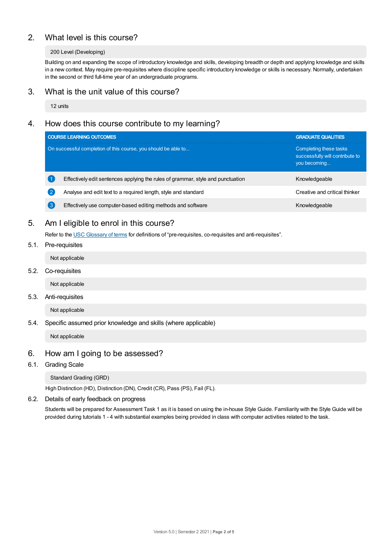# 2. What level is this course?

#### 200 Level (Developing)

Building on and expanding the scope of introductory knowledge and skills, developing breadth or depth and applying knowledge and skills in a new context. May require pre-requisites where discipline specific introductory knowledge or skills is necessary. Normally, undertaken in the second or third full-time year of an undergraduate programs.

## 3. What is the unit value of this course?

12 units

## 4. How does this course contribute to my learning?

|   | <b>COURSE LEARNING OUTCOMES</b>                                                 | <b>GRADUATE QUALITIES</b>                                                 |
|---|---------------------------------------------------------------------------------|---------------------------------------------------------------------------|
|   | On successful completion of this course, you should be able to                  | Completing these tasks<br>successfully will contribute to<br>you becoming |
|   | Effectively edit sentences applying the rules of grammar, style and punctuation | Knowledgeable                                                             |
|   | Analyse and edit text to a required length, style and standard                  | Creative and critical thinker                                             |
| 3 | Effectively use computer-based editing methods and software                     | Knowledgeable                                                             |

## 5. Am Ieligible to enrol in this course?

Refer to the USC [Glossary](https://www.usc.edu.au/about/policies-and-procedures/glossary-of-terms-for-policy-and-procedures) of terms for definitions of "pre-requisites, co-requisites and anti-requisites".

5.1. Pre-requisites

Not applicable

5.2. Co-requisites

Not applicable

5.3. Anti-requisites

Not applicable

5.4. Specific assumed prior knowledge and skills (where applicable)

Not applicable

## 6. How am Igoing to be assessed?

6.1. Grading Scale

Standard Grading (GRD)

High Distinction (HD), Distinction (DN), Credit (CR), Pass (PS), Fail (FL).

#### 6.2. Details of early feedback on progress

Students will be prepared for Assessment Task 1 as it is based on using the in-house Style Guide. Familiarity with the Style Guide will be provided during tutorials 1 - 4 with substantial examples being provided in class with computer activities related to the task.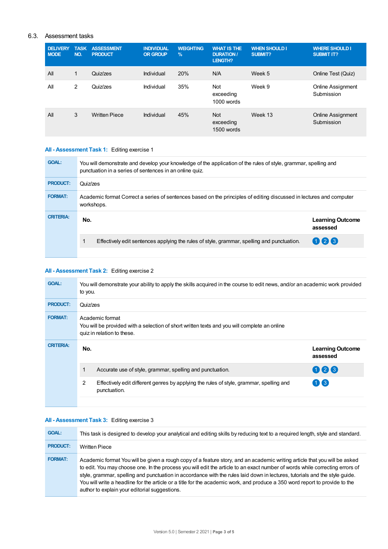## 6.3. Assessment tasks

| <b>DELIVERY</b><br><b>MODE</b> | <b>TASK</b><br>NO. | <b>ASSESSMENT</b><br><b>PRODUCT</b> | <b>INDIVIDUAL</b><br><b>OR GROUP</b> | <b>WEIGHTING</b><br>$\frac{9}{6}$ | <b>WHAT IS THE</b><br><b>DURATION /</b><br>LENGTH? | <b>WHEN SHOULD I</b><br>SUBMIT? | <b>WHERE SHOULD I</b><br><b>SUBMIT IT?</b> |
|--------------------------------|--------------------|-------------------------------------|--------------------------------------|-----------------------------------|----------------------------------------------------|---------------------------------|--------------------------------------------|
| All                            | 1                  | Quiz/zes                            | Individual                           | 20%                               | N/A                                                | Week 5                          | Online Test (Quiz)                         |
| All                            | 2                  | Quiz/zes                            | Individual                           | 35%                               | <b>Not</b><br>exceeding<br>1000 words              | Week 9                          | Online Assignment<br>Submission            |
| All                            | 3                  | <b>Written Piece</b>                | Individual                           | 45%                               | <b>Not</b><br>exceeding<br>1500 words              | Week 13                         | <b>Online Assignment</b><br>Submission     |

## **All - Assessment Task 1:** Editing exercise 1

| <b>GOAL:</b>     | You will demonstrate and develop your knowledge of the application of the rules of style, grammar, spelling and<br>punctuation in a series of sentences in an online quiz. |                                     |  |  |
|------------------|----------------------------------------------------------------------------------------------------------------------------------------------------------------------------|-------------------------------------|--|--|
| <b>PRODUCT:</b>  | Quiz/zes                                                                                                                                                                   |                                     |  |  |
| <b>FORMAT:</b>   | Academic format Correct a series of sentences based on the principles of editing discussed in lectures and computer<br>workshops.                                          |                                     |  |  |
| <b>CRITERIA:</b> | No.                                                                                                                                                                        | <b>Learning Outcome</b><br>assessed |  |  |
|                  | Effectively edit sentences applying the rules of style, grammar, spelling and punctuation.                                                                                 | 026                                 |  |  |
|                  |                                                                                                                                                                            |                                     |  |  |

## **All - Assessment Task 2:** Editing exercise 2

| <b>GOAL:</b>     | You will demonstrate your ability to apply the skills acquired in the course to edit news, and/or an academic work provided<br>to you.        |                                                                                                         |                                     |  |  |
|------------------|-----------------------------------------------------------------------------------------------------------------------------------------------|---------------------------------------------------------------------------------------------------------|-------------------------------------|--|--|
| <b>PRODUCT:</b>  | Quiz/zes                                                                                                                                      |                                                                                                         |                                     |  |  |
| <b>FORMAT:</b>   | Academic format<br>You will be provided with a selection of short written texts and you will complete an online<br>quiz in relation to these. |                                                                                                         |                                     |  |  |
| <b>CRITERIA:</b> | No.                                                                                                                                           |                                                                                                         | <b>Learning Outcome</b><br>assessed |  |  |
|                  |                                                                                                                                               | Accurate use of style, grammar, spelling and punctuation.                                               | 026                                 |  |  |
|                  | $\overline{2}$                                                                                                                                | Effectively edit different genres by applying the rules of style, grammar, spelling and<br>punctuation. | $(1)$ $(3)$                         |  |  |
|                  |                                                                                                                                               |                                                                                                         |                                     |  |  |

## **All - Assessment Task 3:** Editing exercise 3

| <b>GOAL:</b>    | This task is designed to develop your analytical and editing skills by reducing text to a required length, style and standard.                                                                                                                                                                                                                                                                                                                                                                                                                                           |
|-----------------|--------------------------------------------------------------------------------------------------------------------------------------------------------------------------------------------------------------------------------------------------------------------------------------------------------------------------------------------------------------------------------------------------------------------------------------------------------------------------------------------------------------------------------------------------------------------------|
| <b>PRODUCT:</b> | <b>Written Piece</b>                                                                                                                                                                                                                                                                                                                                                                                                                                                                                                                                                     |
| <b>FORMAT:</b>  | Academic format You will be given a rough copy of a feature story, and an academic writing article that you will be asked<br>to edit. You may choose one. In the process you will edit the article to an exact number of words while correcting errors of<br>style, grammar, spelling and punctuation in accordance with the rules laid down in lectures, tutorials and the style quide.<br>You will write a headline for the article or a title for the academic work, and produce a 350 word report to provide to the<br>author to explain your editorial suggestions. |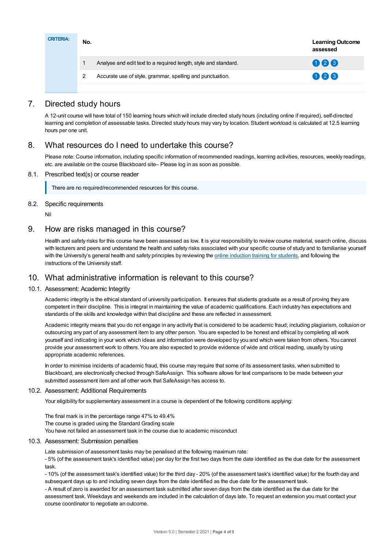| <b>CRITERIA:</b> | No. |                                                                 | <b>Learning Outcome</b><br>assessed |
|------------------|-----|-----------------------------------------------------------------|-------------------------------------|
|                  |     | Analyse and edit text to a required length, style and standard. | 026                                 |
|                  |     | Accurate use of style, grammar, spelling and punctuation.       | 023                                 |
|                  |     |                                                                 |                                     |

## 7. Directed study hours

A 12-unit course will have total of 150 learning hours which will include directed study hours (including online if required), self-directed learning and completion of assessable tasks. Directed study hours may vary by location. Student workload is calculated at 12.5 learning hours per one unit.

## 8. What resources do I need to undertake this course?

Please note: Course information, including specific information of recommended readings, learning activities, resources, weekly readings, etc. are available on the course Blackboard site– Please log in as soon as possible.

#### 8.1. Prescribed text(s) or course reader

There are no required/recommended resources for this course.

#### 8.2. Specific requirements

Nil

## 9. How are risks managed in this course?

Health and safety risks for this course have been assessed as low. It is your responsibility to review course material, search online, discuss with lecturers and peers and understand the health and safety risks associated with your specific course of study and to familiarise yourself with the University's general health and safety principles by reviewing the online [induction](https://online.usc.edu.au/webapps/blackboard/content/listContentEditable.jsp?content_id=_632657_1&course_id=_14432_1) training for students, and following the instructions of the University staff.

# 10. What administrative information is relevant to this course?

## 10.1. Assessment: Academic Integrity

Academic integrity is the ethical standard of university participation. It ensures that students graduate as a result of proving they are competent in their discipline. This is integral in maintaining the value of academic qualifications. Each industry has expectations and standards of the skills and knowledge within that discipline and these are reflected in assessment.

Academic integrity means that you do not engage in any activity that is considered to be academic fraud; including plagiarism, collusion or outsourcing any part of any assessment item to any other person. You are expected to be honest and ethical by completing all work yourself and indicating in your work which ideas and information were developed by you and which were taken from others. You cannot provide your assessment work to others.You are also expected to provide evidence of wide and critical reading, usually by using appropriate academic references.

In order to minimise incidents of academic fraud, this course may require that some of its assessment tasks, when submitted to Blackboard, are electronically checked through SafeAssign. This software allows for text comparisons to be made between your submitted assessment item and all other work that SafeAssign has access to.

#### 10.2. Assessment: Additional Requirements

Your eligibility for supplementary assessment in a course is dependent of the following conditions applying:

The final mark is in the percentage range 47% to 49.4% The course is graded using the Standard Grading scale You have not failed an assessment task in the course due to academic misconduct

#### 10.3. Assessment: Submission penalties

Late submission of assessment tasks may be penalised at the following maximum rate:

- 5% (of the assessment task's identified value) per day for the first two days from the date identified as the due date for the assessment task.

- 10% (of the assessment task's identified value) for the third day - 20% (of the assessment task's identified value) for the fourth day and subsequent days up to and including seven days from the date identified as the due date for the assessment task.

- A result of zero is awarded for an assessment task submitted after seven days from the date identified as the due date for the assessment task. Weekdays and weekends are included in the calculation of days late. To request an extension you must contact your course coordinator to negotiate an outcome.